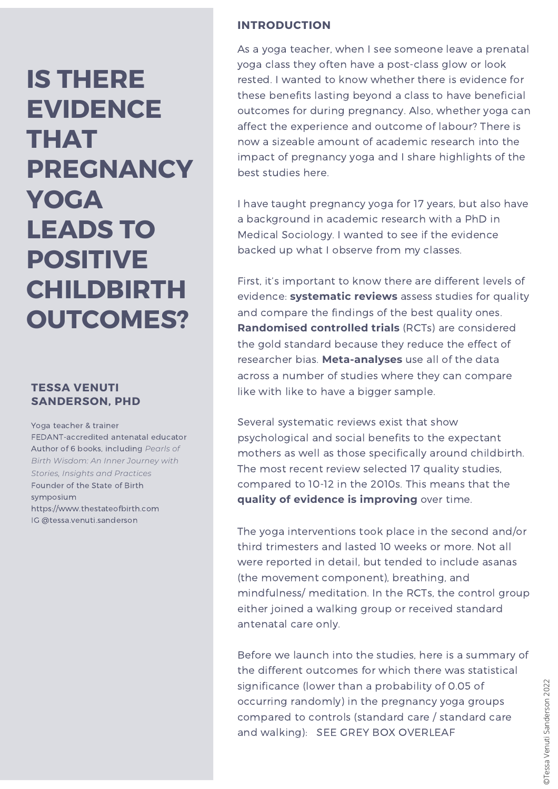# **IS THERE EVIDENCE THAT PREGNANCY YOGA LEADS TO POSITIVE CHILDBIRTH OUTCOMES?**

## **TESSA VENUTI SANDERSON, PHD**

Yoga teacher & trainer FEDANT-accredited antenatal educator Author of 6 books, including *Pearls of Birth Wisdom: An Inner Journey with Stories, Insights and Practices* Founder of the State of Birth symposium https://www.thestateofbirth.com IG @tessa.venuti.sanderson

#### **INTRODUCTION**

As a yoga teacher, when I see someone leave a prenatal yoga class they often have a post-class glow or look rested. I wanted to know whether there is evidence for these benefits lasting beyond a class to have beneficial outcomes for during pregnancy. Also, whether yoga can affect the experience and outcome of labour? There is now a sizeable amount of academic research into the impact of pregnancy yoga and I share highlights of the best studies here.

I have taught pregnancy yoga for 17 years, but also have a background in academic research with a PhD in Medical Sociology. I wanted to see if the evidence backed up what I observe from my classes.

First, it's important to know there are different levels of evidence: **systematic reviews** assess studies for quality and compare the findings of the best quality ones. **Randomised controlled trials** (RCTs) are considered the gold standard because they reduce the effect of researcher bias. **Meta-analyses** use all of the data across a number of studies where they can compare like with like to have a bigger sample.

Several systematic reviews exist that show psychological and social benefits to the expectant mothers as well as those specifically around childbirth. The most recent review selected 17 quality studies, compared to 10-12 in the 2010s. This means that the **quality of evidence is improving** over time.

The yoga interventions took place in the second and/or third trimesters and lasted 10 weeks or more. Not all were reported in detail, but tended to include asanas (the movement component), breathing, and mindfulness/ meditation. In the RCTs, the control group either joined a walking group or received standard antenatal care only.

Before we launch into the studies, here is a summary of the different outcomes for which there was statistical significance (lower than a probability of 0.05 of occurring randomly) in the pregnancy yoga groups compared to controls (standard care / standard care and walking): SEE GREY BOX OVERLEAF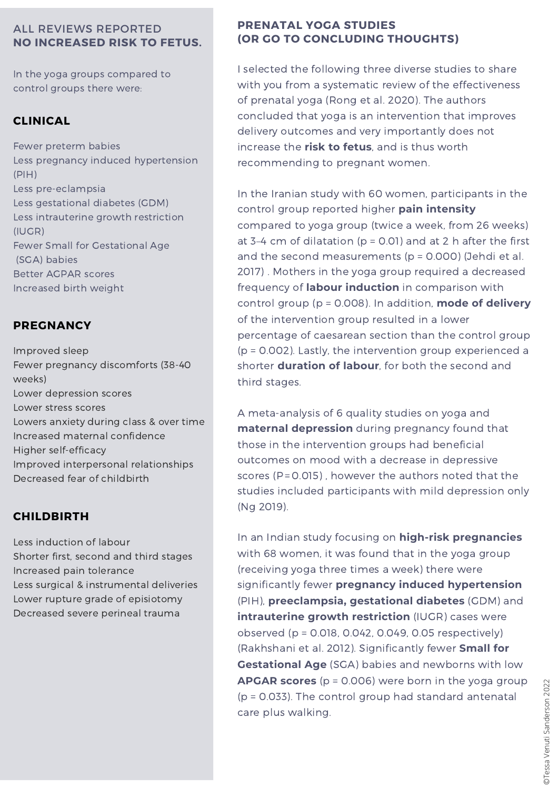## ALL REVIEWS REPORTED **NO INCREASED RISK TO FETUS.**

In the yoga groups compared to control groups there were:

# **CLINICAL**

Fewer preterm babies Less pregnancy induced [hypertension](https://www.sciencedirect.com/topics/medicine-and-dentistry/gestational-hypertension) (PIH) Less [pre-eclampsia](https://www.sciencedirect.com/topics/medicine-and-dentistry/pre-eclampsia) Less [gestational](https://www.sciencedirect.com/topics/medicine-and-dentistry/gestational-diabetes) diabetes (GDM) Less [intrauterine](https://www.sciencedirect.com/topics/medicine-and-dentistry/intrauterine-growth-retardation) growth restriction (IUGR) Fewer Small for Gestational Age (SGA) babies Better AGPAR scores Increased birth weight

# **PREGNANCY**

Improved sleep Fewer pregnancy discomforts (38-40 weeks) Lower depression scores Lower stress scores Lowers anxiety during class & over time Increased maternal confidence Higher self-efficacy Improved interpersonal relationships Decreased fear of childbirth

# **CHILDBIRTH**

Less induction of labour Shorter first, second and third stages Increased pain tolerance Less surgical & instrumental deliveries Lower rupture grade of episiotomy Decreased severe perineal trauma

#### **PRENATAL YOGA STUDIES (OR GO TO CONCLUDING THOUGHTS)**

I selected the following three diverse studies to share with you from a systematic review of the effectiveness of prenatal yoga (Rong et al. 2020). The authors concluded that yoga is an intervention that improves delivery outcomes and very importantly does not increase the **risk to fetus**, and is thus worth recommending to pregnant women.

In the Iranian study with 60 women, participants in the control group reported higher **pain intensity** compared to yoga group (twice a week, from 26 weeks) at 3-4 cm of dilatation ( $p = 0.01$ ) and at 2 h after the first and the second measurements (p = 0.000) (Jehdi et al. 2017) . Mothers in the yoga group required a decreased frequency of **labour induction** in comparison with control group (p = 0.008). In addition, **mode of delivery** of the intervention group resulted in a lower percentage of [caesarean](https://www.sciencedirect.com/topics/medicine-and-dentistry/cesarean-section) section than the control group (p = 0.002). Lastly, the intervention group experienced a shorter **duration of labour**, for both the second and third stages.

A meta-analysis of 6 quality studies on yoga and **maternal depression** during pregnancy found that those in the intervention groups had beneficial outcomes on mood with a decrease in depressive scores ( $P = 0.015$ ), however the authors noted that the studies included participants with mild depression only (Ng 2019).

In an Indian study focusing on **high-risk pregnancies** with 68 women, it was found that in the yoga group (receiving yoga three times a week) there were significantly fewer **pregnancy induced [hypertension](https://www.sciencedirect.com/topics/medicine-and-dentistry/gestational-hypertension)** (PIH), **[preeclampsia,](https://www.sciencedirect.com/topics/medicine-and-dentistry/pre-eclampsia) [gestational](https://www.sciencedirect.com/topics/medicine-and-dentistry/gestational-diabetes) diabetes** (GDM) and **[intrauterine](https://www.sciencedirect.com/topics/medicine-and-dentistry/intrauterine-growth-retardation) growth restriction** (IUGR) cases were observed (p = 0.018, 0.042, 0.049, 0.05 respectively) (Rakhshani et al. 2012). Significantly fewer **Small for [Gestational](https://www.sciencedirect.com/topics/medicine-and-dentistry/small-for-gestational-age) Age** (SGA) babies and newborns with low **APGAR scores** (p = 0.006) were born in the yoga group (p = 0.033). The control group had standard antenatal **EXECUTE:** ( $p = 0.008$ ) were born in the yoga group  $p = 0.033$ ). The control group had standard antenatal care plus walking.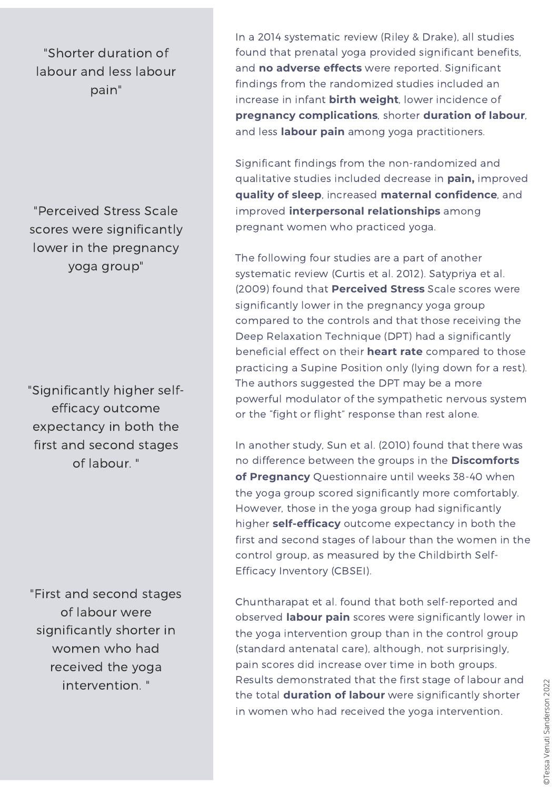"Shorter duration of labour and less labour pain"

"Perceived Stress Scale scores were significantly lower in the pregnancy yoga group"

"Significantly higher selfefficacy outcome expectancy in both the first and second stages of labour. "

"First and second stages of labour were significantly shorter in women who had received the yoga intervention. "

In a 2014 systematic review (Riley & Drake), all studies found that prenatal yoga provided significant benefits, and **no adverse effects** were reported. Significant findings from the randomized studies included an increase in infant **birth weight**, lower incidence of **pregnancy complications**, shorter **duration of labour**, and less **labour pain** among yoga practitioners.

Significant findings from the non-randomized and qualitative studies included decrease in **pain,** improved **quality of sleep**, increased **maternal confidence**, and improved **interpersonal relationships** among pregnant women who practiced yoga.

The following four studies are a part of another systematic review (Curtis et al. 2012). Satypriya et al. (2009) found that **Perceived Stress** Scale scores were significantly lower in the pregnancy yoga group compared to the controls and that those receiving the Deep Relaxation Technique (DPT) had a significantly beneficial effect on their **heart rate** compared to those practicing a Supine Position only (lying down for a rest). The authors suggested the DPT may be a more powerful modulator of the sympathetic nervous system or the "fight or flight" response than rest alone.

In another study, Sun et al. (2010) found that there was no difference between the groups in the **Discomforts of Pregnancy** Questionnaire until weeks 38-40 when the yoga group scored significantly more comfortably. However, those in the yoga group had significantly higher **self-efficacy** outcome expectancy in both the first and second stages of labour than the women in the control group, as measured by the Childbirth Self-Efficacy Inventory (CBSEI).

Chuntharapat et al. found that both self-reported and observed **labour pain** scores were significantly lower in the yoga intervention group than in the control group (standard antenatal care), although, not surprisingly, pain scores did increase over time in both groups. Results demonstrated that the first stage of labour and the total **duration of labour** were significantly shorter Fresults demonstrated that the first stage of labour and<br>the total **duration of labour** were significantly shorter<br>in women who had received the yoga intervention.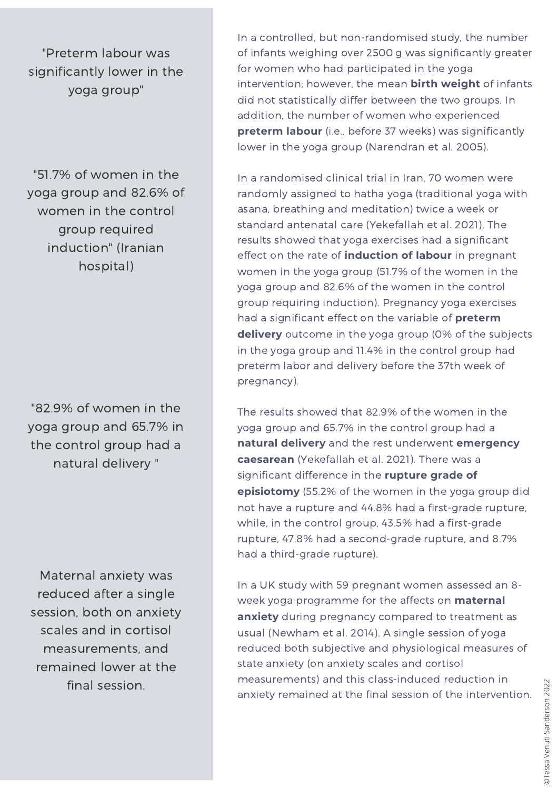"Preterm labour was significantly lower in the yoga group"

"51.7% of women in the yoga group and 82.6% of women in the control group required induction" (Iranian hospital)

"82.9% of women in the yoga group and 65.7% in the control group had a natural delivery "

Maternal anxiety was reduced after a single session, both on anxiety scales and in cortisol measurements, and remained lower at the final session.

In a controlled, but non-randomised study, the number of infants weighing over 2500 g was significantly greater for women who had participated in the yoga intervention; however, the mean **birth weight** of infants did not statistically differ between the two groups. In addition, the number of women who experienced **preterm labour** (i.e., before 37 weeks) was significantly lower in the yoga group (Narendran et al. 2005).

In a randomised clinical trial in Iran, 70 women were randomly assigned to hatha yoga (traditional yoga with asana, breathing and meditation) twice a week or standard antenatal care (Yekefallah et al. 2021). The results showed that yoga exercises had a significant effect on the rate of **induction of labour** in pregnant women in the yoga group (51.7% of the women in the yoga group and 82.6% of the women in the control group requiring induction). Pregnancy yoga exercises had a significant effect on the variable of **preterm delivery** outcome in the yoga group (0% of the subjects in the yoga group and 11.4% in the control group had preterm labor and delivery before the 37th week of pregnancy).

The results showed that 82.9% of the women in the yoga group and 65.7% in the control group had a **natural delivery** and the rest underwent **emergency caesarean** (Yekefallah et al. 2021). There was a significant difference in the **rupture grade of episiotomy** (55.2% of the women in the yoga group did not have a rupture and 44.8% had a first-grade rupture, while, in the control group, 43.5% had a first-grade rupture, 47.8% had a second-grade rupture, and 8.7% had a third-grade rupture).

In a UK study with 59 pregnant women assessed an 8 week yoga programme for the affects on **maternal anxiety** during pregnancy compared to treatment as usual (Newham et al. 2014). A single session of yoga reduced both subjective and physiological measures of state anxiety (on anxiety scales and cortisol measurements) and this class-induced reduction in anxiety remained at the final session of the intervention.  $\frac{28}{60}$ <br>anxiety remained at the final session of the intervention.  $\frac{28}{60}$ <br> $\frac{28}{60}$ <br> $\frac{28}{60}$ <br> $\frac{28}{60}$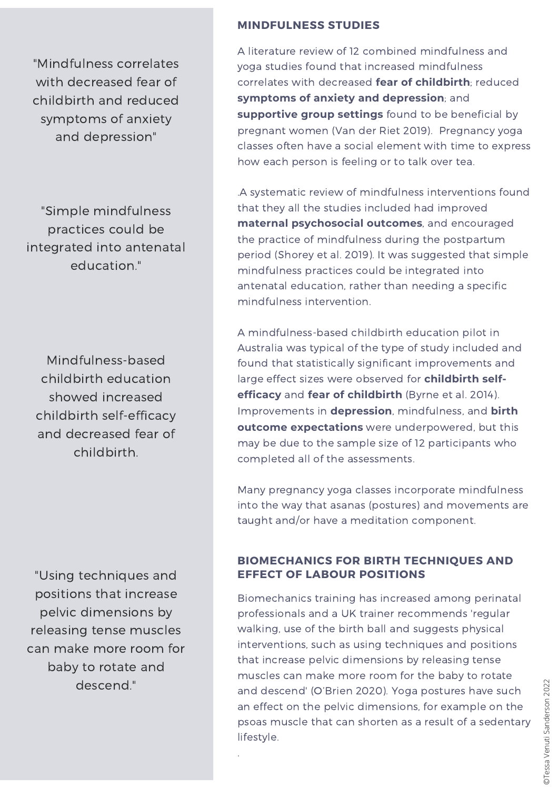"Mindfulness correlates with decreased fear of childbirth and reduced symptoms of anxiety and depression"

"Simple mindfulness practices could be integrated into antenatal education."

Mindfulness-based childbirth education showed increased childbirth self-efficacy and decreased fear of childbirth.

"Using techniques and positions that increase pelvic dimensions by releasing tense muscles can make more room for baby to rotate and descend."

#### **MINDFULNESS STUDIES**

A literature review of 12 combined mindfulness and yoga studies found that increased mindfulness correlates with decreased **fear of childbirth**; reduced **symptoms of anxiety and depression**; and **supportive group settings** found to be beneficial by pregnant women (Van der Riet 2019). Pregnancy yoga classes often have a social element with time to express how each person is feeling or to talk over tea.

.A systematic review of mindfulness interventions found that they all the studies included had improved **maternal psychosocial outcomes**, and encouraged the practice of [mindfulness](https://www.sciencedirect.com/topics/nursing-and-health-professions/puerperium) during the postpartum period (Shorey et al. 2019). It was suggested that simple mindfulness practices could be integrated into antenatal education, rather than needing a specific mindfulness intervention.

A mindfulness-based childbirth education pilot in Australia was typical of the type of study included and found that statistically significant improvements and large effect sizes were observed for **childbirth selfefficacy** and **fear of childbirth** (Byrne et al. 2014). Improvements in **depression**, mindfulness, and **birth outcome expectations** were underpowered, but this may be due to the sample size of 12 participants who completed all of the assessments.

Many pregnancy yoga classes incorporate mindfulness into the way that asanas (postures) and movements are taught and/or have a meditation component.

#### **BIOMECHANICS FOR BIRTH TECHNIQUES AND EFFECT OF LABOUR POSITIONS**

Biomechanics training has increased among perinatal professionals and a UK trainer recommends 'regular walking, use of the birth ball and suggests physical interventions, such as using techniques and positions that increase pelvic dimensions by releasing tense muscles can make more room for the baby to rotate and descend' (O'Brien 2020). Yoga postures have such an effect on the pelvic dimensions, for example on the psoas muscle that can shorten as a result of a sedentary lifestyle. and descend' (O'Brien 2020). Yoga postures have such<br>an effect on the pelvic dimensions, for example on the<br>psoas muscle that can shorten as a result of a sedentary<br>lifestyle.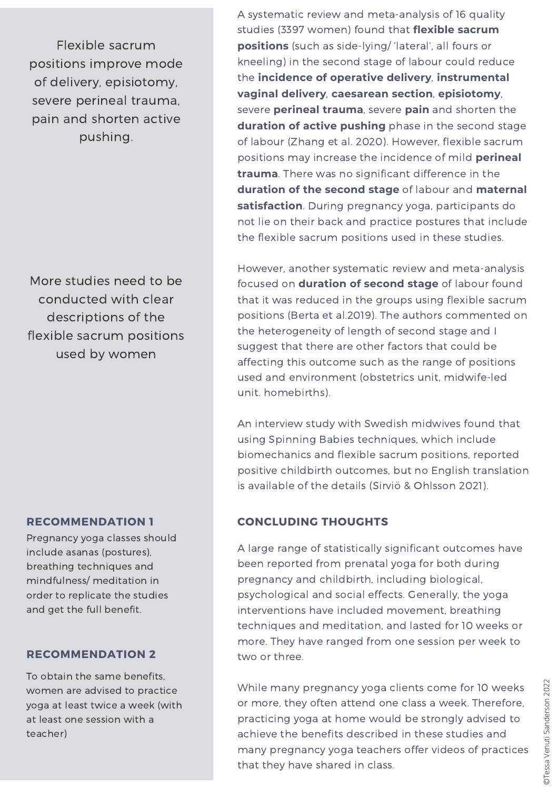Flexible sacrum positions improve mode of delivery, episiotomy, severe perineal trauma, pain and shorten active pushing.

More studies need to be conducted with clear descriptions of the flexible sacrum positions used by women

## **RECOMMENDATION 1**

Pregnancy yoga classes should include asanas (postures), breathing techniques and mindfulness/ meditation in order to replicate the studies and get the full benefit.

## **RECOMMENDATION 2**

To obtain the same benefits, women are advised to practice yoga at least twice a week (with at least one session with a teacher)

A systematic review and meta-analysis of 16 quality studies (3397 women) found that **flexible sacrum positions** (such as side-lying/ 'lateral', all fours or kneeling) in the second stage of labour could reduce the **incidence of operative delivery**, **instrumental vaginal delivery**, **caesarean section**, **episiotomy**, severe **perineal trauma**, severe **pain** and shorten the **duration of active pushing** phase in the second stage of labour (Zhang et al. 2020). However, flexible sacrum positions may increase the incidence of mild **perineal trauma**. There was no significant difference in the **duration of the second stage** of labour and **maternal satisfaction**. During pregnancy yoga, participants do not lie on their back and practice postures that include the flexible sacrum positions used in these studies.

However, another systematic review and meta-analysis focused on **duration of second stage** of labour found that it was reduced in the groups using flexible sacrum positions (Berta et al.2019). The authors commented on the heterogeneity of length of second stage and I suggest that there are other factors that could be affecting this outcome such as the range of positions used and environment (obstetrics unit, midwife-led unit. homebirths).

An interview study with Swedish midwives found that using Spinning Babies techniques, which include biomechanics and flexible sacrum positions, reported positive childbirth outcomes, but no English translation is available of the details (Sirviö & Ohlsson 2021).

## **CONCLUDING THOUGHTS**

A large range of statistically significant outcomes have been reported from prenatal yoga for both during pregnancy and childbirth, including biological, psychological and social effects. Generally, the yoga interventions have included movement, breathing techniques and meditation, and lasted for 10 weeks or more. They have ranged from one session per week to two or three.

While many pregnancy yoga clients come for 10 weeks or more, they often attend one class a week. Therefore, practicing yoga at home would be strongly advised to achieve the benefits described in these studies and many pregnancy yoga teachers offer videos of practices that they have shared in class.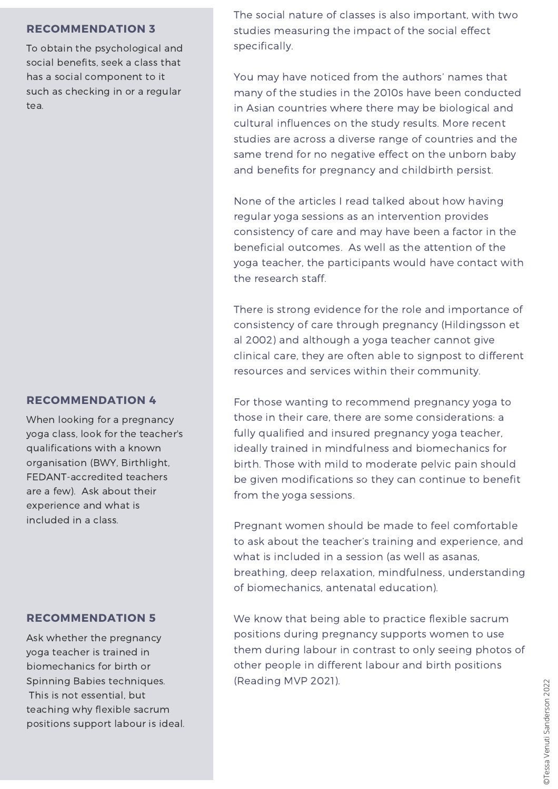#### **RECOMMENDATION 3**

To obtain the psychological and social benefits, seek a class that has a social component to it such as checking in or a regular tea.

#### **RECOMMENDATION 4**

When looking for a pregnancy yoga class, look for the teacher's qualifications with a known organisation (BWY, Birthlight, FEDANT-accredited teachers are a few). Ask about their experience and what is included in a class.

#### **RECOMMENDATION 5**

Ask whether the pregnancy yoga teacher is trained in biomechanics for birth or Spinning Babies techniques. This is not essential, but teaching why flexible sacrum positions support labour is ideal. The social nature of classes is also important, with two studies measuring the impact of the social effect specifically.

You may have noticed from the authors' names that many of the studies in the 2010s have been conducted in Asian countries where there may be biological and cultural influences on the study results. More recent studies are across a diverse range of countries and the same trend for no negative effect on the unborn baby and benefits for pregnancy and childbirth persist.

None of the articles I read talked about how having regular yoga sessions as an intervention provides consistency of care and may have been a factor in the beneficial outcomes. As well as the attention of the yoga teacher, the participants would have contact with the research staff.

There is strong evidence for the role and importance of consistency of care through pregnancy (Hildingsson et al 2002) and although a yoga teacher cannot give clinical care, they are often able to signpost to different resources and services within their community.

For those wanting to recommend pregnancy yoga to those in their care, there are some considerations: a fully qualified and insured pregnancy yoga teacher, ideally trained in mindfulness and biomechanics for birth. Those with mild to moderate pelvic pain should be given modifications so they can continue to benefit from the yoga sessions.

Pregnant women should be made to feel comfortable to ask about the teacher's training and experience, and what is included in a session (as well as asanas, breathing, deep relaxation, mindfulness, understanding of biomechanics, antenatal education).

We know that being able to practice flexible sacrum positions during pregnancy supports women to use them during labour in contrast to only seeing photos of other people in different labour and birth positions (Reading MVP 2021).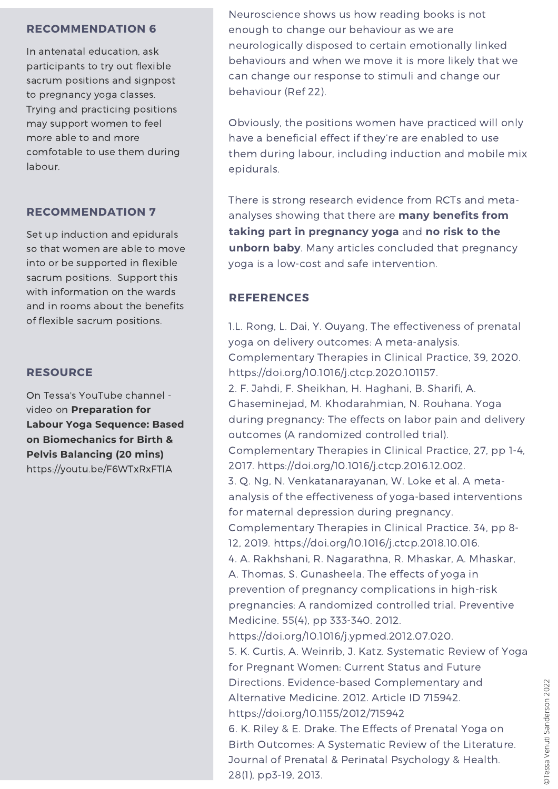#### **RECOMMENDATION 6**

In antenatal education, ask participants to try out flexible sacrum positions and signpost to pregnancy yoga classes. Trying and practicing positions may support women to feel more able to and more comfotable to use them during labour.

## **RECOMMENDATION 7**

Set up induction and epidurals so that women are able to move into or be supported in flexible sacrum positions. Support this with information on the wards and in rooms about the benefits of flexible sacrum positions.

## **RESOURCE**

On Tessa's YouTube channel video on **Preparation for Labour Yoga Sequence: Based on Biomechanics for Birth & Pelvis Balancing (20 mins)** https://youtu.be/F6WTxRxFTlA

Neuroscience shows us how reading books is not enough to change our behaviour as we are neurologically disposed to certain emotionally linked behaviours and when we move it is more likely that we can change our response to stimuli and change our behaviour (Ref 22).

Obviously, the positions women have practiced will only have a beneficial effect if they're are enabled to use them during labour, including induction and mobile mix epidurals.

There is strong research evidence from RCTs and metaanalyses showing that there are **many benefits from taking part in pregnancy yoga** and **no risk to the unborn baby**. Many articles concluded that pregnancy yoga is a low-cost and safe intervention.

## **REFERENCES**

1.L. Rong, L. Dai, Y. Ouyang, The effectiveness of prenatal yoga on delivery outcomes: A meta-analysis. Complementary Therapies in Clinical Practice, 39, 2020. https://doi.org/10.1016/j.ctcp.2020.101157. 2. F. Jahdi, F. Sheikhan, H. Haghani, B. Sharifi, A. Ghaseminejad, M. Khodarahmian, N. Rouhana. Yoga during pregnancy: The effects on labor pain and delivery outcomes (A randomized controlled trial). Complementary Therapies in Clinical Practice, 27, pp 1-4, 2017. [https://doi.org/10.1016/j.ctcp.2016.12.002.](https://doi.org/10.1016/j.ctcp.2016.12.002) 3. Q. Ng, N. Venkatanarayanan, W. Loke et al. A metaanalysis of the effectiveness of yoga-based interventions for maternal depression during pregnancy. Complementary Therapies in Clinical Practice. 34, pp 8- 12, 2019. https://doi.org/10.1016/j.ctcp.2018.10.016. 4. A. Rakhshani, R. Nagarathna, R. Mhaskar, A. Mhaskar, A. Thomas, S. Gunasheela. The effects of yoga in prevention of pregnancy complications in high-risk pregnancies: A randomized controlled trial. Preventive Medicine. 55(4), pp 333-340. 2012. <https://doi.org/10.1016/j.ypmed.2012.07.020>. 5. K. Curtis, A. Weinrib, J. Katz. Systematic Review of Yoga for Pregnant Women: Current Status and Future Directions. Evidence-based Complementary and Alternative Medicine. 2012. Article ID 715942. <https://doi.org/10.1155/2012/715942> 6. K. Riley & E. Drake. The Effects of Prenatal Yoga on Birth Outcomes: A Systematic Review of the Literature. Journal of Prenatal & Perinatal Psychology & Health. 28(1), pp3-19, 2013.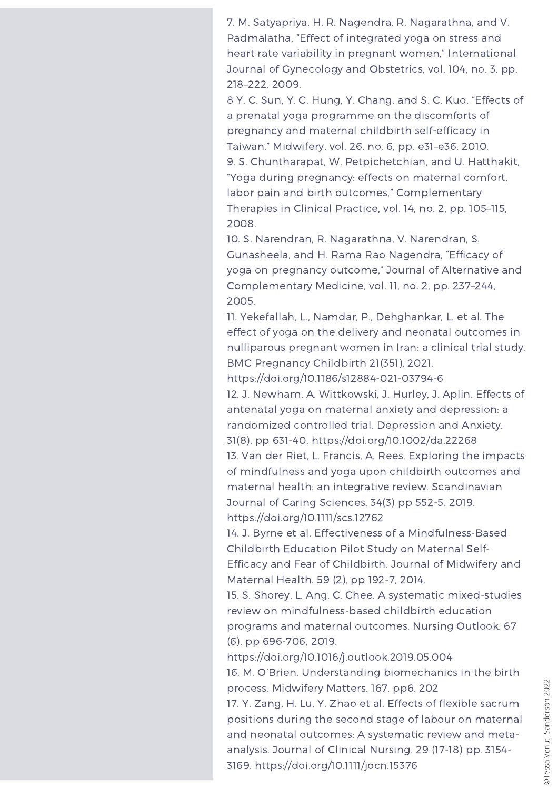7. M. Satyapriya, H. R. Nagendra, R. Nagarathna, and V. Padmalatha, "Effect of integrated yoga on stress and heart rate variability in pregnant women," International Journal of Gynecology and Obstetrics, vol. 104, no. 3, pp. 218–222, 2009.

8 Y. C. Sun, Y. C. Hung, Y. Chang, and S. C. Kuo, "Effects of a prenatal yoga programme on the discomforts of pregnancy and maternal childbirth self-efficacy in Taiwan," Midwifery, vol. 26, no. 6, pp. e31–e36, 2010. 9. S. Chuntharapat, W. Petpichetchian, and U. Hatthakit, "Yoga during pregnancy: effects on maternal comfort, labor pain and birth outcomes," Complementary Therapies in Clinical Practice, vol. 14, no. 2, pp. 105–115, 2008.

10. S. Narendran, R. Nagarathna, V. Narendran, S. Gunasheela, and H. Rama Rao Nagendra, "Efficacy of yoga on pregnancy outcome," Journal of Alternative and Complementary Medicine, vol. 11, no. 2, pp. 237–244, 2005.

11. Yekefallah, L., Namdar, P., Dehghankar, L. et al. The effect of yoga on the delivery and neonatal outcomes in nulliparous pregnant women in Iran: a clinical trial study. BMC Pregnancy Childbirth 21(351), 2021.

https://doi.org/10.1186/s12884-021-03794-6

12. J. Newham, A. Wittkowski, J. Hurley, J. Aplin. Effects of antenatal yoga on maternal anxiety and depression: a randomized controlled trial. Depression and Anxiety. 31(8), pp 631-40. <https://doi.org/10.1002/da.22268>

13. Van der Riet, L. Francis, A. Rees. Exploring the impacts of mindfulness and yoga upon childbirth outcomes and maternal health: an integrative review. Scandinavian Journal of Caring Sciences. 34(3) pp 552-5. 2019. <https://doi.org/10.1111/scs.12762>

14. J. Byrne et al. Effectiveness of a Mindfulness-Based Childbirth Education Pilot Study on Maternal Self-Efficacy and Fear of Childbirth. Journal of Midwifery and Maternal Health. [59](https://onlinelibrary.wiley.com/toc/15422011/2014/59/2) (2), pp 192-7, 2014.

15. S. Shorey, L. Ang, C. Chee. A systematic mixed-studies review on mindfulness-based childbirth education programs and maternal outcomes. Nursing Outlook. 67 (6), pp 696-706, 2019.

<https://doi.org/10.1016/j.outlook.2019.05.004>

16. M. O'Brien. Understanding biomechanics in the birth process. Midwifery Matters. 167, pp6. 202

17. Y. Zang, H. Lu, Y. Zhao et al. Effects of flexible sacrum positions during the second stage of labour on maternal and neonatal outcomes: A systematic review and metaanalysis. Journal of Clinical Nursing. 29 (17-18) pp. 3154- 3169. <https://doi.org/10.1111/jocn.15376>